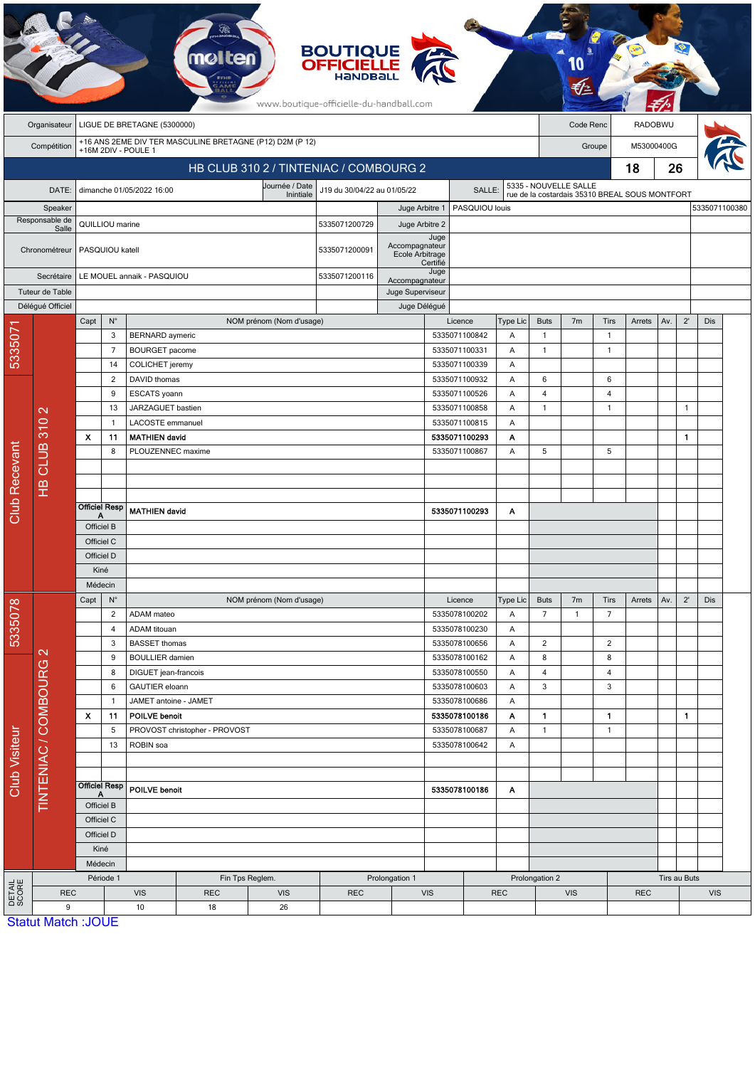|                                    | <b>BOUTIQUE</b><br><b>OFFICIELLE</b><br>HANDBA<br>www.boutique-officielle-du-handball.com      |                            |                                                                     |                                   |                      |                                        |                                       |                                   |                  |                                |              |                                |                                                |                   |              |              |              |               |  |
|------------------------------------|------------------------------------------------------------------------------------------------|----------------------------|---------------------------------------------------------------------|-----------------------------------|----------------------|----------------------------------------|---------------------------------------|-----------------------------------|------------------|--------------------------------|--------------|--------------------------------|------------------------------------------------|-------------------|--------------|--------------|--------------|---------------|--|
|                                    | Organisateur                                                                                   |                            |                                                                     | LIGUE DE BRETAGNE (5300000)       |                      |                                        |                                       |                                   |                  |                                |              |                                | Code Renc                                      |                   | RADOBWU      |              |              |               |  |
|                                    | +16 ANS 2EME DIV TER MASCULINE BRETAGNE (P12) D2M (P 12)<br>Compétition<br>+16M 2DIV - POULE 1 |                            |                                                                     |                                   |                      |                                        |                                       |                                   |                  |                                |              | M53000400G<br>Groupe           |                                                |                   |              |              |              |               |  |
|                                    |                                                                                                |                            |                                                                     |                                   |                      | HB CLUB 310 2 / TINTENIAC / COMBOURG 2 |                                       |                                   |                  |                                |              |                                |                                                | 18                | 26           |              |              |               |  |
|                                    |                                                                                                |                            |                                                                     | dimanche 01/05/2022 16:00         |                      | Journée / Date                         | J19 du 30/04/22 au 01/05/22<br>SALLE: |                                   |                  |                                |              |                                | 5335 - NOUVELLE SALLE                          |                   |              |              |              |               |  |
| DATE:<br>Speaker<br>Responsable de |                                                                                                |                            |                                                                     |                                   |                      | Inintiale                              |                                       | Juge Arbitre 1                    |                  | PASQUIOU louis                 |              |                                | rue de la costardais 35310 BREAL SOUS MONTFORT |                   |              |              |              | 5335071100380 |  |
|                                    |                                                                                                | QUILLIOU marine            |                                                                     |                                   |                      |                                        | 5335071200729                         | Juge Arbitre 2                    |                  |                                |              |                                |                                                |                   |              |              |              |               |  |
|                                    | Salle<br>Chronométreur                                                                         | PASQUIOU katell            |                                                                     |                                   |                      |                                        | 5335071200091                         | Accompagnateur<br>Ecole Arbitrage | Juge<br>Certifié |                                |              |                                |                                                |                   |              |              |              |               |  |
| Secrétaire                         |                                                                                                | LE MOUEL annaik - PASQUIOU |                                                                     |                                   |                      |                                        | 5335071200116                         | Accompagnateur                    | Juge             |                                |              |                                |                                                |                   |              |              |              |               |  |
|                                    | Tuteur de Table                                                                                |                            |                                                                     |                                   |                      |                                        |                                       | Juge Superviseur                  |                  |                                |              |                                |                                                |                   |              |              |              |               |  |
|                                    | Délégué Officiel                                                                               | Capt                       | $N^{\circ}$                                                         |                                   |                      | NOM prénom (Nom d'usage)               |                                       | Juge Délégué                      |                  | Licence                        | Type Lic     | <b>Buts</b>                    | 7 <sub>m</sub>                                 | Tirs              | Arrets       | Av.          | $2^{\prime}$ | Dis           |  |
| 533507                             |                                                                                                |                            | 3                                                                   | <b>BERNARD</b> aymeric            |                      |                                        |                                       |                                   |                  | 5335071100842                  | Α            | $\mathbf{1}$                   |                                                | $\overline{1}$    |              |              |              |               |  |
|                                    |                                                                                                |                            | $\overline{7}$                                                      | <b>BOURGET</b> pacome             |                      |                                        |                                       |                                   |                  | 5335071100331                  | A            | $\mathbf{1}$                   |                                                | $\mathbf{1}$      |              |              |              |               |  |
|                                    |                                                                                                |                            | 14                                                                  | COLICHET jeremy                   |                      |                                        |                                       |                                   |                  | 5335071100339                  | Α            |                                |                                                |                   |              |              |              |               |  |
|                                    |                                                                                                | 2<br>9<br>13               |                                                                     | DAVID thomas                      |                      |                                        |                                       |                                   |                  | 5335071100932                  | Α            | 6                              |                                                | 6                 |              |              |              |               |  |
|                                    |                                                                                                |                            |                                                                     | ESCATS yoann<br>JARZAGUET bastien |                      |                                        |                                       |                                   |                  | 5335071100526<br>5335071100858 | Α<br>Α       | $\overline{4}$<br>$\mathbf{1}$ |                                                | 4<br>$\mathbf{1}$ |              |              | $\mathbf{1}$ |               |  |
|                                    | $\mathbf{\Omega}$                                                                              |                            | LACOSTE emmanuel<br>$\mathbf{1}$                                    |                                   |                      |                                        |                                       | 5335071100815                     |                  |                                | Α            |                                |                                                |                   |              |              |              |               |  |
|                                    |                                                                                                | $\boldsymbol{\mathsf{x}}$  | <b>MATHIEN david</b><br>11                                          |                                   |                      |                                        | 5335071100293                         |                                   |                  | Α                              |              |                                |                                                |                   |              | 1            |              |               |  |
|                                    |                                                                                                |                            | 8                                                                   | PLOUZENNEC maxime                 |                      |                                        |                                       |                                   |                  | 5335071100867                  | Α            | 5                              |                                                | 5                 |              |              |              |               |  |
|                                    | HB CLUB 310                                                                                    |                            |                                                                     |                                   |                      |                                        |                                       |                                   |                  |                                |              |                                |                                                |                   |              |              |              |               |  |
|                                    |                                                                                                |                            |                                                                     |                                   |                      |                                        |                                       |                                   |                  |                                |              |                                |                                                |                   |              |              |              |               |  |
| <b>Club Recevant</b>               |                                                                                                |                            | <b>Officiel Resp</b>                                                |                                   |                      |                                        |                                       |                                   |                  |                                |              |                                |                                                |                   |              |              |              |               |  |
|                                    |                                                                                                | Α<br>Officiel B            |                                                                     | <b>MATHIEN david</b>              |                      |                                        |                                       | 5335071100293<br>Α                |                  |                                |              |                                |                                                |                   |              |              |              |               |  |
|                                    |                                                                                                | Officiel C                 |                                                                     |                                   |                      |                                        |                                       |                                   |                  |                                |              |                                |                                                |                   |              |              |              |               |  |
|                                    |                                                                                                | Officiel D                 |                                                                     |                                   |                      |                                        |                                       |                                   |                  |                                |              |                                |                                                |                   |              |              |              |               |  |
|                                    |                                                                                                | Kiné                       |                                                                     |                                   |                      |                                        |                                       |                                   |                  |                                |              |                                |                                                |                   |              |              |              |               |  |
|                                    |                                                                                                | Médecin                    |                                                                     |                                   |                      |                                        |                                       |                                   |                  |                                |              |                                |                                                |                   |              |              |              |               |  |
| 5335078                            |                                                                                                | Capt                       | $\mathsf{N}^\circ$                                                  |                                   |                      | NOM prénom (Nom d'usage)               |                                       |                                   |                  | Licence                        | Type Lic     | <b>Buts</b>                    | 7 <sub>m</sub>                                 | Tirs              | Arrets       | Av.          | $2^{\prime}$ | Dis           |  |
|                                    |                                                                                                |                            | $\overline{2}$                                                      | ADAM mateo                        |                      |                                        |                                       |                                   |                  | 5335078100202                  | A<br>Α       | $\overline{7}$                 | $\mathbf{1}$                                   | $\overline{7}$    |              |              |              |               |  |
|                                    |                                                                                                | 4<br>3                     |                                                                     | ADAM titouan                      | <b>BASSET</b> thomas |                                        |                                       |                                   |                  | 5335078100230<br>5335078100656 |              | $\overline{2}$                 |                                                | $\overline{2}$    |              |              |              |               |  |
|                                    | $\mathbf{\Omega}$                                                                              |                            | 9                                                                   | <b>BOULLIER</b> damien            |                      |                                        |                                       |                                   |                  | 5335078100162                  | Α<br>Α       | 8                              |                                                | 8                 |              |              |              |               |  |
| Club Visiteur                      |                                                                                                |                            | 8                                                                   | DIGUET jean-francois              |                      |                                        |                                       |                                   |                  | 5335078100550                  | A            | 4                              |                                                | 4                 |              |              |              |               |  |
|                                    | TINTENIAC / COMBOURG                                                                           |                            | 6                                                                   | GAUTIER eloann                    |                      |                                        |                                       |                                   |                  | 5335078100603                  | Α            | 3                              |                                                | 3                 |              |              |              |               |  |
|                                    |                                                                                                |                            | $\mathbf{1}$<br>JAMET antoine - JAMET<br>11<br><b>POILVE benoit</b> |                                   |                      | 5335078100686                          |                                       | Α                                 |                  |                                |              |                                |                                                |                   |              |              |              |               |  |
|                                    |                                                                                                | $\boldsymbol{\mathsf{x}}$  |                                                                     |                                   |                      |                                        | 5335078100186                         |                                   | A                | $\mathbf{1}$                   |              | $\mathbf{1}$                   |                                                |                   | $\mathbf{1}$ |              |              |               |  |
|                                    |                                                                                                |                            | PROVOST christopher - PROVOST<br>5<br>13<br>ROBIN soa               |                                   |                      |                                        |                                       | 5335078100687<br>5335078100642    |                  | A<br>Α                         | $\mathbf{1}$ |                                | $\mathbf{1}$                                   |                   |              |              |              |               |  |
|                                    |                                                                                                |                            |                                                                     |                                   |                      |                                        |                                       |                                   |                  |                                |              |                                |                                                |                   |              |              |              |               |  |
|                                    |                                                                                                |                            |                                                                     |                                   |                      |                                        |                                       |                                   |                  |                                |              |                                |                                                |                   |              |              |              |               |  |
|                                    |                                                                                                | <b>Officiel Resp</b><br>Α  |                                                                     | <b>POILVE benoit</b>              |                      |                                        |                                       | 5335078100186<br>A                |                  |                                |              |                                |                                                |                   |              |              |              |               |  |
|                                    |                                                                                                | Officiel B<br>Officiel C   |                                                                     |                                   |                      |                                        |                                       |                                   |                  |                                |              |                                |                                                |                   |              |              |              |               |  |
|                                    |                                                                                                | Officiel D                 |                                                                     |                                   |                      |                                        |                                       |                                   |                  |                                |              |                                |                                                |                   |              |              |              |               |  |
|                                    |                                                                                                | Kiné                       |                                                                     |                                   |                      |                                        |                                       |                                   |                  |                                |              |                                |                                                |                   |              |              |              |               |  |
|                                    |                                                                                                |                            | Médecin                                                             |                                   |                      |                                        |                                       |                                   |                  |                                |              |                                |                                                |                   |              |              |              |               |  |
|                                    |                                                                                                |                            | Période 1                                                           |                                   |                      | Fin Tps Reglem.                        |                                       | Prolongation 1                    |                  |                                |              | Prolongation 2                 |                                                |                   |              | Tirs au Buts |              |               |  |
| <b>DETAIL</b><br>SCORE             | <b>REC</b><br>9                                                                                |                            |                                                                     | <b>VIS</b>                        | <b>REC</b>           | <b>VIS</b>                             | <b>REC</b>                            |                                   | VIS              | <b>REC</b>                     |              | <b>VIS</b>                     |                                                |                   | <b>REC</b>   |              |              | <b>VIS</b>    |  |
|                                    | <b>Statut Match: JOUE</b>                                                                      |                            |                                                                     | 10                                | 18                   | 26                                     |                                       |                                   |                  |                                |              |                                |                                                |                   |              |              |              |               |  |